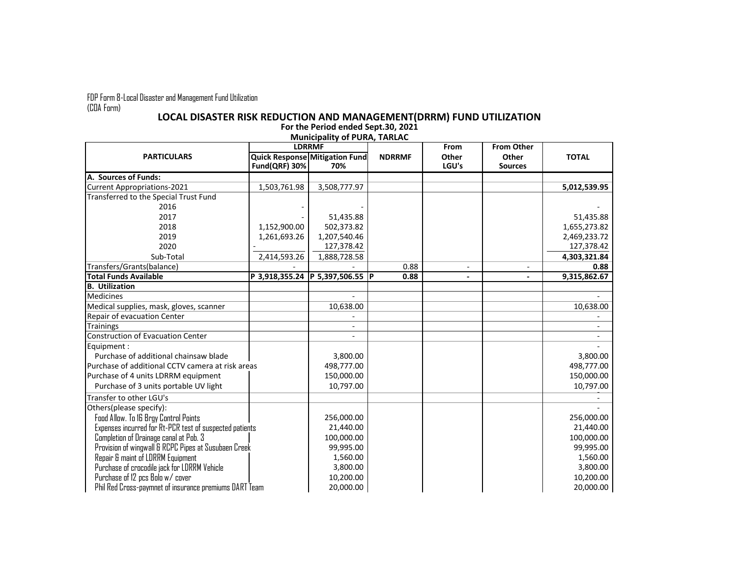FDP Form 8-Local Disaster and Management Fund Utilization (COA Form)

## **LOCAL DISASTER RISK REDUCTION AND MANAGEMENT(DRRM) FUND UTILIZATION**

**For the Period ended Sept.30, 2021 Municipality of PURA, TARLAC**

| <b>PARTICULARS</b>                                      | <b>LDRRMF</b> |                                       |               | From   | <b>From Other</b> |              |
|---------------------------------------------------------|---------------|---------------------------------------|---------------|--------|-------------------|--------------|
|                                                         |               | <b>Quick Response Mitigation Fund</b> | <b>NDRRMF</b> | Other  | Other             | <b>TOTAL</b> |
|                                                         | Fund(QRF) 30% | 70%                                   |               | LGU's  | <b>Sources</b>    |              |
| A. Sources of Funds:                                    |               |                                       |               |        |                   |              |
| <b>Current Appropriations-2021</b>                      | 1,503,761.98  | 3,508,777.97                          |               |        |                   | 5,012,539.95 |
| Transferred to the Special Trust Fund                   |               |                                       |               |        |                   |              |
| 2016                                                    |               |                                       |               |        |                   |              |
| 2017                                                    |               | 51,435.88                             |               |        |                   | 51,435.88    |
| 2018                                                    | 1,152,900.00  | 502,373.82                            |               |        |                   | 1,655,273.82 |
| 2019                                                    | 1,261,693.26  | 1,207,540.46                          |               |        |                   | 2,469,233.72 |
| 2020                                                    |               | 127,378.42                            |               |        |                   | 127,378.42   |
| Sub-Total                                               | 2,414,593.26  | 1,888,728.58                          |               |        |                   | 4,303,321.84 |
| Transfers/Grants(balance)                               |               |                                       | 0.88          | $\sim$ |                   | 0.88         |
| Total Funds Available                                   |               | P 3,918,355.24 P 5,397,506.55 P       | 0.88          |        |                   | 9,315,862.67 |
| <b>B.</b> Utilization                                   |               |                                       |               |        |                   |              |
| <b>Medicines</b>                                        |               |                                       |               |        |                   |              |
| Medical supplies, mask, gloves, scanner                 |               | 10,638.00                             |               |        |                   | 10,638.00    |
| Repair of evacuation Center                             |               |                                       |               |        |                   |              |
| <b>Trainings</b>                                        |               |                                       |               |        |                   |              |
| Construction of Evacuation Center                       |               |                                       |               |        |                   |              |
| Equipment:                                              |               |                                       |               |        |                   |              |
| Purchase of additional chainsaw blade                   |               | 3,800.00                              |               |        |                   | 3,800.00     |
| Purchase of additional CCTV camera at risk areas        |               | 498,777.00                            |               |        |                   | 498,777.00   |
| Purchase of 4 units LDRRM equipment                     |               | 150,000.00                            |               |        |                   | 150,000.00   |
| Purchase of 3 units portable UV light                   |               | 10,797.00                             |               |        |                   | 10,797.00    |
| Transfer to other LGU's                                 |               |                                       |               |        |                   |              |
| Others(please specify):                                 |               |                                       |               |        |                   |              |
| Food Allow. To 16 Brgy Control Points                   |               | 256,000.00                            |               |        |                   | 256,000.00   |
| Expenses incurred for Rt-PCR test of suspected patients |               | 21,440.00                             |               |        |                   | 21,440.00    |
| Completion of Drainage canal at Pob. 3                  |               | 100,000.00                            |               |        |                   | 100,000.00   |
| Provision of wingwall & RCPC Pipes at Susubaen Creek    |               | 99,995.00                             |               |        |                   | 99,995.00    |
| Repair & maint of LDRRM Equipment                       |               | 1,560.00                              |               |        |                   | 1,560.00     |
| Purchase of crocodile jack for LDRRM Vehicle            |               | 3,800.00                              |               |        |                   | 3,800.00     |
| Purchase of 12 pcs Bolo w/ cover                        |               | 10,200.00                             |               |        |                   | 10,200.00    |
| Phil Red Cross-paymnet of insurance premiums DART Team  |               | 20,000.00                             |               |        |                   | 20,000.00    |